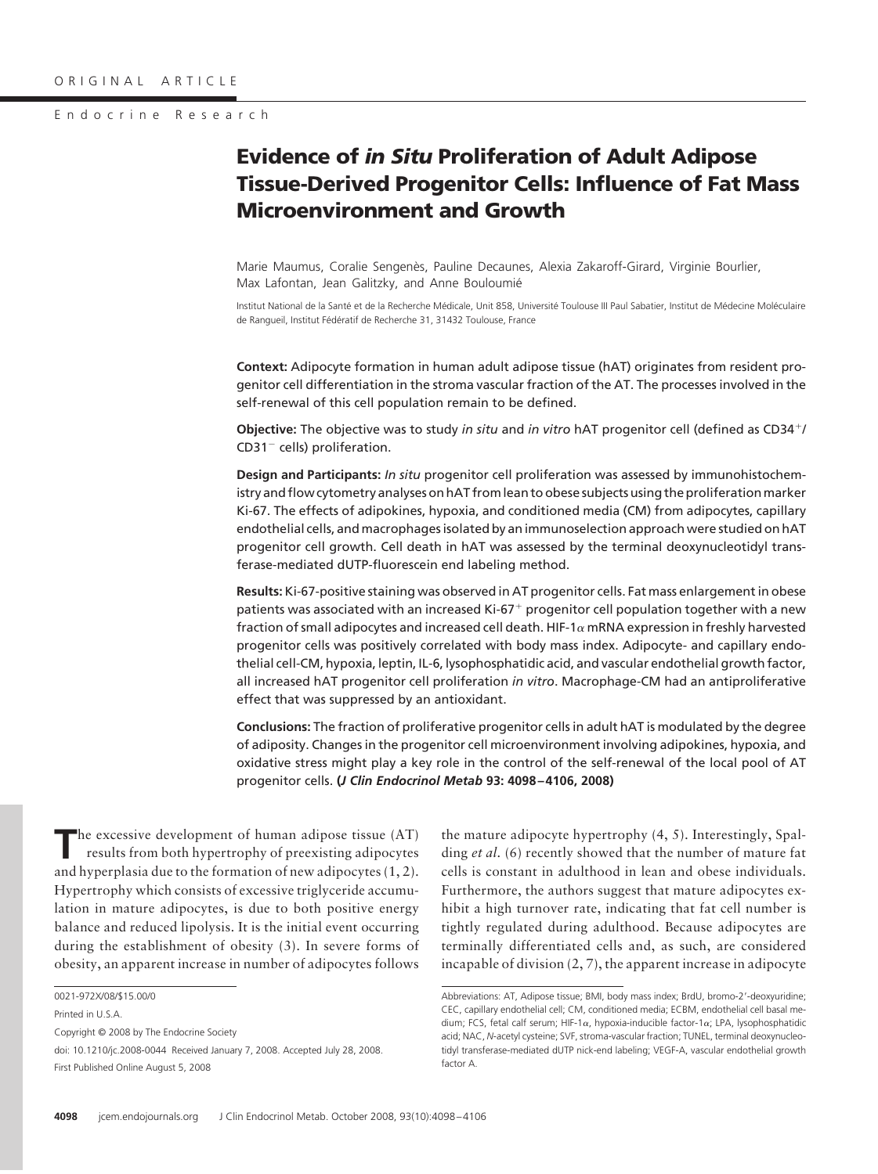### Endocrine Research

# **Evidence of** *in Situ* **Proliferation of Adult Adipose Tissue-Derived Progenitor Cells: Influence of Fat Mass Microenvironment and Growth**

Marie Maumus, Coralie Sengenès, Pauline Decaunes, Alexia Zakaroff-Girard, Virginie Bourlier, Max Lafontan, Jean Galitzky, and Anne Bouloumié

Institut National de la Santé et de la Recherche Médicale, Unit 858, Université Toulouse III Paul Sabatier, Institut de Médecine Moléculaire de Rangueil, Institut Fédératif de Recherche 31, 31432 Toulouse, France

**Context:** Adipocyte formation in human adult adipose tissue (hAT) originates from resident progenitor cell differentiation in the stroma vascular fraction of the AT. The processes involved in the self-renewal of this cell population remain to be defined.

**Objective:** The objective was to study *in situ* and *in vitro* hAT progenitor cell (defined as CD34/  $CD31^-$  cells) proliferation.

**Design and Participants:** *In situ* progenitor cell proliferation was assessed by immunohistochemistry and flow cytometry analyses on hAT from lean to obese subjects using the proliferation marker Ki-67. The effects of adipokines, hypoxia, and conditioned media (CM) from adipocytes, capillary endothelial cells, and macrophages isolated by an immunoselection approach were studied on hAT progenitor cell growth. Cell death in hAT was assessed by the terminal deoxynucleotidyl transferase-mediated dUTP-fluorescein end labeling method.

**Results:** Ki-67-positive staining was observed in AT progenitor cells. Fat mass enlargement in obese patients was associated with an increased Ki-67<sup>+</sup> progenitor cell population together with a new fraction of small adipocytes and increased cell death. HIF-1 $\alpha$  mRNA expression in freshly harvested progenitor cells was positively correlated with body mass index. Adipocyte- and capillary endothelial cell-CM, hypoxia, leptin, IL-6, lysophosphatidic acid, and vascular endothelial growth factor, all increased hAT progenitor cell proliferation *in vitro*. Macrophage-CM had an antiproliferative effect that was suppressed by an antioxidant.

**Conclusions:** The fraction of proliferative progenitor cells in adult hAT is modulated by the degree of adiposity. Changes in the progenitor cell microenvironment involving adipokines, hypoxia, and oxidative stress might play a key role in the control of the self-renewal of the local pool of AT progenitor cells. **(***J Clin Endocrinol Metab* **93: 4098 – 4106, 2008)**

**T**he excessive development of human adipose tissue (AT) results from both hypertrophy of preexisting adipocytes and hyperplasia due to the formation of new adipocytes (1, 2). Hypertrophy which consists of excessive triglyceride accumulation in mature adipocytes, is due to both positive energy balance and reduced lipolysis. It is the initial event occurring during the establishment of obesity (3). In severe forms of obesity, an apparent increase in number of adipocytes follows

0021-972X/08/\$15.00/0

Copyright © 2008 by The Endocrine Society

the mature adipocyte hypertrophy (4, 5). Interestingly, Spalding *et al.* (6) recently showed that the number of mature fat cells is constant in adulthood in lean and obese individuals. Furthermore, the authors suggest that mature adipocytes exhibit a high turnover rate, indicating that fat cell number is tightly regulated during adulthood. Because adipocytes are terminally differentiated cells and, as such, are considered incapable of division (2, 7), the apparent increase in adipocyte

Printed in U.S.A.

doi: 10.1210/jc.2008-0044 Received January 7, 2008. Accepted July 28, 2008. First Published Online August 5, 2008

Abbreviations: AT, Adipose tissue; BMI, body mass index; BrdU, bromo-2-deoxyuridine; CEC, capillary endothelial cell; CM, conditioned media; ECBM, endothelial cell basal medium; FCS, fetal calf serum; HIF-1 $\alpha$ , hypoxia-inducible factor-1 $\alpha$ ; LPA, lysophosphatidic acid; NAC, *N*-acetyl cysteine; SVF, stroma-vascular fraction; TUNEL, terminal deoxynucleotidyl transferase-mediated dUTP nick-end labeling; VEGF-A, vascular endothelial growth factor A.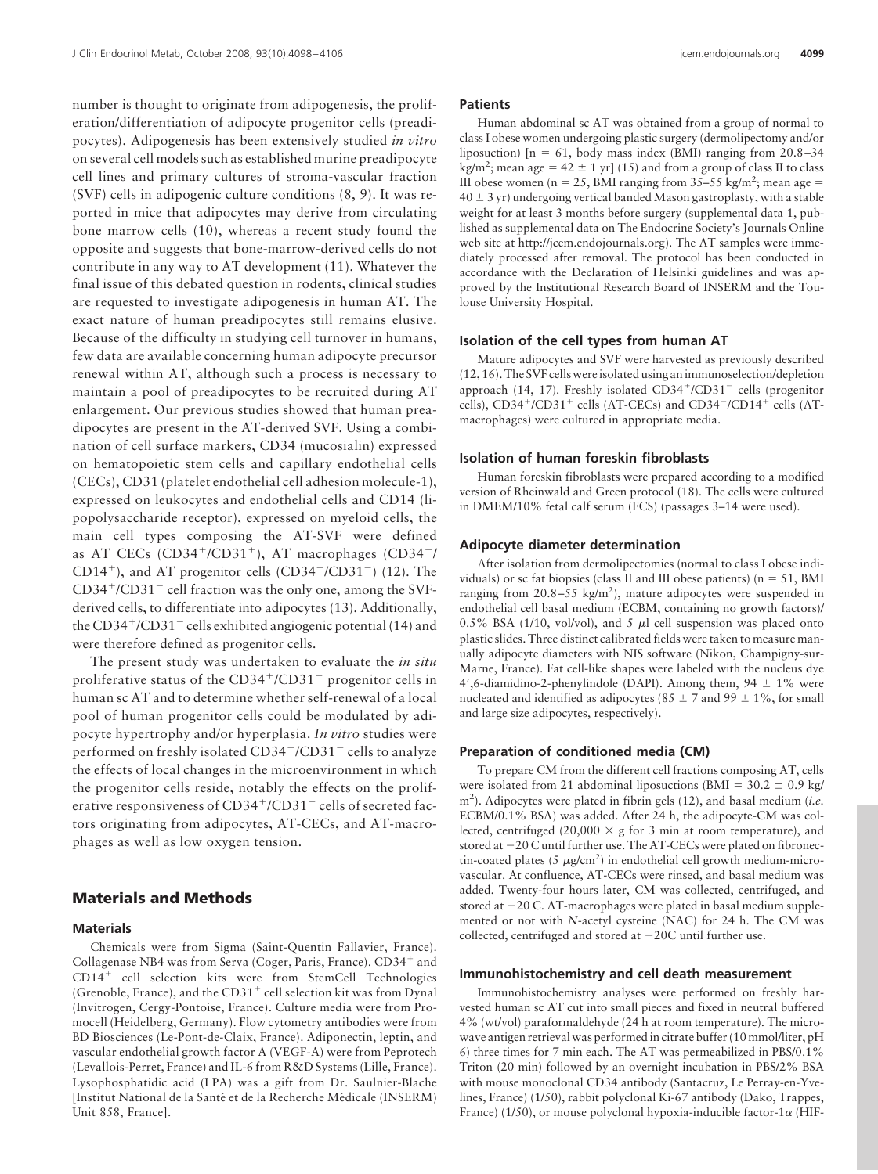number is thought to originate from adipogenesis, the proliferation/differentiation of adipocyte progenitor cells (preadipocytes). Adipogenesis has been extensively studied *in vitro* on several cell models such as established murine preadipocyte cell lines and primary cultures of stroma-vascular fraction (SVF) cells in adipogenic culture conditions (8, 9). It was reported in mice that adipocytes may derive from circulating bone marrow cells (10), whereas a recent study found the opposite and suggests that bone-marrow-derived cells do not contribute in any way to AT development (11). Whatever the final issue of this debated question in rodents, clinical studies are requested to investigate adipogenesis in human AT. The exact nature of human preadipocytes still remains elusive. Because of the difficulty in studying cell turnover in humans, few data are available concerning human adipocyte precursor renewal within AT, although such a process is necessary to maintain a pool of preadipocytes to be recruited during AT enlargement. Our previous studies showed that human preadipocytes are present in the AT-derived SVF. Using a combination of cell surface markers, CD34 (mucosialin) expressed on hematopoietic stem cells and capillary endothelial cells (CECs), CD31 (platelet endothelial cell adhesion molecule-1), expressed on leukocytes and endothelial cells and CD14 (lipopolysaccharide receptor), expressed on myeloid cells, the main cell types composing the AT-SVF were defined as AT CECs (CD34<sup>+</sup>/CD31<sup>+</sup>), AT macrophages (CD34<sup>-</sup>/ CD14<sup>+</sup>), and AT progenitor cells (CD34<sup>+</sup>/CD31<sup>-</sup>) (12). The CD34<sup>+</sup>/CD31<sup>-</sup> cell fraction was the only one, among the SVFderived cells, to differentiate into adipocytes (13). Additionally, the CD34<sup>+</sup>/CD31<sup>-</sup> cells exhibited angiogenic potential (14) and were therefore defined as progenitor cells.

The present study was undertaken to evaluate the *in situ* proliferative status of the CD34<sup>+</sup>/CD31<sup>-</sup> progenitor cells in human sc AT and to determine whether self-renewal of a local pool of human progenitor cells could be modulated by adipocyte hypertrophy and/or hyperplasia. *In vitro* studies were performed on freshly isolated CD34<sup>+</sup>/CD31<sup>-</sup> cells to analyze the effects of local changes in the microenvironment in which the progenitor cells reside, notably the effects on the proliferative responsiveness of CD34<sup>+</sup>/CD31<sup>-</sup> cells of secreted factors originating from adipocytes, AT-CECs, and AT-macrophages as well as low oxygen tension.

# **Materials and Methods**

### **Materials**

Chemicals were from Sigma (Saint-Quentin Fallavier, France). Collagenase NB4 was from Serva (Coger, Paris, France). CD34<sup>+</sup> and CD14<sup>+</sup> cell selection kits were from StemCell Technologies (Grenoble, France), and the CD31<sup>+</sup> cell selection kit was from Dynal (Invitrogen, Cergy-Pontoise, France). Culture media were from Promocell (Heidelberg, Germany). Flow cytometry antibodies were from BD Biosciences (Le-Pont-de-Claix, France). Adiponectin, leptin, and vascular endothelial growth factor A (VEGF-A) were from Peprotech (Levallois-Perret, France) and IL-6 from R&D Systems (Lille, France). Lysophosphatidic acid (LPA) was a gift from Dr. Saulnier-Blache [Institut National de la Santé et de la Recherche Médicale (INSERM) Unit 858, France].

#### **Patients**

Human abdominal sc AT was obtained from a group of normal to class I obese women undergoing plastic surgery (dermolipectomy and/or liposuction)  $[n = 61, body mass index (BMI) ranging from 20.8-34$ kg/m<sup>2</sup>; mean age =  $42 \pm 1$  yr] (15) and from a group of class II to class III obese women ( $n = 25$ , BMI ranging from 35–55 kg/m<sup>2</sup>; mean age =  $40 \pm 3$  yr) undergoing vertical banded Mason gastroplasty, with a stable weight for at least 3 months before surgery (supplemental data 1, published as supplemental data on The Endocrine Society's Journals Online web site at http://jcem.endojournals.org). The AT samples were immediately processed after removal. The protocol has been conducted in accordance with the Declaration of Helsinki guidelines and was approved by the Institutional Research Board of INSERM and the Toulouse University Hospital.

# **Isolation of the cell types from human AT**

Mature adipocytes and SVF were harvested as previously described (12, 16). The SVF cells were isolated using an immunoselection/depletion approach (14, 17). Freshly isolated CD34+/CD31<sup>-</sup> cells (progenitor cells), CD34<sup>+</sup>/CD31<sup>+</sup> cells (AT-CECs) and CD34<sup>-</sup>/CD14<sup>+</sup> cells (ATmacrophages) were cultured in appropriate media.

### **Isolation of human foreskin fibroblasts**

Human foreskin fibroblasts were prepared according to a modified version of Rheinwald and Green protocol (18). The cells were cultured in DMEM/10% fetal calf serum (FCS) (passages 3–14 were used).

### **Adipocyte diameter determination**

After isolation from dermolipectomies (normal to class I obese individuals) or sc fat biopsies (class II and III obese patients) ( $n = 51$ , BMI ranging from  $20.8 - 55$  kg/m<sup>2</sup>), mature adipocytes were suspended in endothelial cell basal medium (ECBM, containing no growth factors)/ 0.5% BSA (1/10, vol/vol), and 5  $\mu$ l cell suspension was placed onto plastic slides. Three distinct calibrated fields were taken to measure manually adipocyte diameters with NIS software (Nikon, Champigny-sur-Marne, France). Fat cell-like shapes were labeled with the nucleus dye 4',6-diamidino-2-phenylindole (DAPI). Among them,  $94 \pm 1\%$  were nucleated and identified as adipocytes (85  $\pm$  7 and 99  $\pm$  1%, for small and large size adipocytes, respectively).

#### **Preparation of conditioned media (CM)**

To prepare CM from the different cell fractions composing AT, cells were isolated from 21 abdominal liposuctions (BMI =  $30.2 \pm 0.9$  kg/ m2 ). Adipocytes were plated in fibrin gels (12), and basal medium (*i.e.* ECBM/0.1% BSA) was added. After 24 h, the adipocyte-CM was collected, centrifuged (20,000  $\times$  g for 3 min at room temperature), and stored at -20 C until further use. The AT-CECs were plated on fibronectin-coated plates (5  $\mu$ g/cm<sup>2</sup>) in endothelial cell growth medium-microvascular. At confluence, AT-CECs were rinsed, and basal medium was added. Twenty-four hours later, CM was collected, centrifuged, and stored at -20 C. AT-macrophages were plated in basal medium supplemented or not with *N*-acetyl cysteine (NAC) for 24 h. The CM was collected, centrifuged and stored at -20C until further use.

### **Immunohistochemistry and cell death measurement**

Immunohistochemistry analyses were performed on freshly harvested human sc AT cut into small pieces and fixed in neutral buffered 4% (wt/vol) paraformaldehyde (24 h at room temperature). The microwave antigen retrieval was performed in citrate buffer (10 mmol/liter, pH 6) three times for 7 min each. The AT was permeabilized in PBS/0.1% Triton (20 min) followed by an overnight incubation in PBS/2% BSA with mouse monoclonal CD34 antibody (Santacruz, Le Perray-en-Yvelines, France) (1/50), rabbit polyclonal Ki-67 antibody (Dako, Trappes, France) (1/50), or mouse polyclonal hypoxia-inducible factor-1 $\alpha$  (HIF-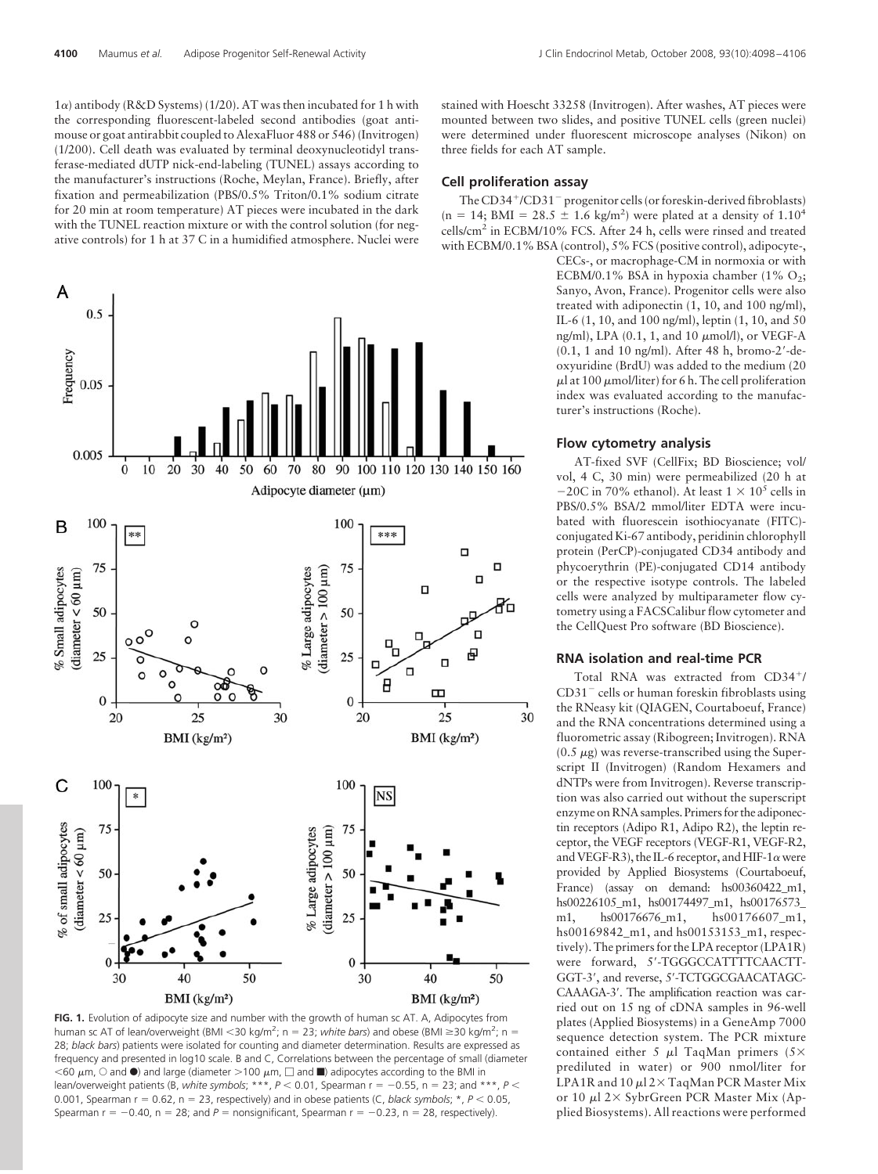$1\alpha$ ) antibody (R&D Systems) (1/20). AT was then incubated for 1 h with the corresponding fluorescent-labeled second antibodies (goat antimouse or goat antirabbit coupled to AlexaFluor 488 or 546) (Invitrogen) (1/200). Cell death was evaluated by terminal deoxynucleotidyl transferase-mediated dUTP nick-end-labeling (TUNEL) assays according to the manufacturer's instructions (Roche, Meylan, France). Briefly, after fixation and permeabilization (PBS/0.5% Triton/0.1% sodium citrate for 20 min at room temperature) AT pieces were incubated in the dark with the TUNEL reaction mixture or with the control solution (for negative controls) for 1 h at 37 C in a humidified atmosphere. Nuclei were



**FIG. 1.** Evolution of adipocyte size and number with the growth of human sc AT. A, Adipocytes from human sc AT of lean/overweight (BMI <30 kg/m<sup>2</sup>;  $n = 23$ ; *white bars*) and obese (BMI  $\geq$ 30 kg/m<sup>2</sup>;  $n =$ 28; *black bars*) patients were isolated for counting and diameter determination. Results are expressed as frequency and presented in log10 scale. B and C, Correlations between the percentage of small (diameter  $<$  60  $\mu$ m,  $\circ$  and  $\bullet$ ) and large (diameter >100  $\mu$ m,  $\Box$  and  $\blacksquare$ ) adipocytes according to the BMI in lean/overweight patients (B, *white symbols*; \*\*\*,  $P < 0.01$ , Spearman r =  $-0.55$ , n = 23; and \*\*\*,  $P <$ 0.001, Spearman r = 0.62, n = 23, respectively) and in obese patients (C, *black symbols*; \*, P < 0.05, Spearman  $r = -0.40$ ,  $n = 28$ ; and  $P =$  nonsignificant, Spearman  $r = -0.23$ ,  $n = 28$ , respectively).

stained with Hoescht 33258 (Invitrogen). After washes, AT pieces were mounted between two slides, and positive TUNEL cells (green nuclei) were determined under fluorescent microscope analyses (Nikon) on three fields for each AT sample.

### **Cell proliferation assay**

The CD34<sup>+</sup>/CD31<sup>-</sup> progenitor cells (or foreskin-derived fibroblasts)  $(n = 14; BMI = 28.5 \pm 1.6 \text{ kg/m}^2)$  were plated at a density of  $1.10^4$ cells/cm2 in ECBM/10% FCS. After 24 h, cells were rinsed and treated with ECBM/0.1% BSA (control), 5% FCS (positive control), adipocyte-,

> CECs-, or macrophage-CM in normoxia or with ECBM/0.1% BSA in hypoxia chamber (1%  $O_2$ ; Sanyo, Avon, France). Progenitor cells were also treated with adiponectin (1, 10, and 100 ng/ml), IL-6 (1, 10, and 100 ng/ml), leptin (1, 10, and 50 ng/ml), LPA (0.1, 1, and 10 μmol/l), or VEGF-A (0.1, 1 and 10 ng/ml). After 48 h, bromo-2-deoxyuridine (BrdU) was added to the medium (20  $\mu$ l at 100  $\mu$ mol/liter) for 6 h. The cell proliferation index was evaluated according to the manufacturer's instructions (Roche).

### **Flow cytometry analysis**

AT-fixed SVF (CellFix; BD Bioscience; vol/ vol, 4 C, 30 min) were permeabilized (20 h at  $-20C$  in 70% ethanol). At least  $1 \times 10^5$  cells in PBS/0.5% BSA/2 mmol/liter EDTA were incubated with fluorescein isothiocyanate (FITC) conjugated Ki-67 antibody, peridinin chlorophyll protein (PerCP)-conjugated CD34 antibody and phycoerythrin (PE)-conjugated CD14 antibody or the respective isotype controls. The labeled cells were analyzed by multiparameter flow cytometry using a FACSCalibur flow cytometer and the CellQuest Pro software (BD Bioscience).

#### **RNA isolation and real-time PCR**

Total RNA was extracted from CD34+/ CD31<sup>-</sup> cells or human foreskin fibroblasts using the RNeasy kit (QIAGEN, Courtaboeuf, France) and the RNA concentrations determined using a fluorometric assay (Ribogreen; Invitrogen). RNA  $(0.5 \mu g)$  was reverse-transcribed using the Superscript II (Invitrogen) (Random Hexamers and dNTPs were from Invitrogen). Reverse transcription was also carried out without the superscript enzyme on RNAsamples. Primers for the adiponectin receptors (Adipo R1, Adipo R2), the leptin receptor, the VEGF receptors (VEGF-R1, VEGF-R2, and VEGF-R3), the IL-6 receptor, and HIF-1 $\alpha$  were provided by Applied Biosystems (Courtaboeuf, France) (assay on demand: hs00360422\_m1, hs00226105\_m1, hs00174497\_m1, hs00176573\_ m1, hs00176676\_m1, hs00176607\_m1, hs00169842\_m1, and hs00153153\_m1, respectively). The primers for the LPA receptor (LPA1R) were forward, 5'-TGGGCCATTTTCAACTT-GGT-3', and reverse, 5'-TCTGGCGAACATAGC-CAAAGA-3'. The amplification reaction was carried out on 15 ng of cDNA samples in 96-well plates (Applied Biosystems) in a GeneAmp 7000 sequence detection system. The PCR mixture contained either 5  $\mu$ l TaqMan primers (5× prediluted in water) or 900 nmol/liter for LPA1R and 10  $\mu$ l 2 $\times$  TaqMan PCR Master Mix or 10  $\mu$ l 2× SybrGreen PCR Master Mix (Applied Biosystems). All reactions were performed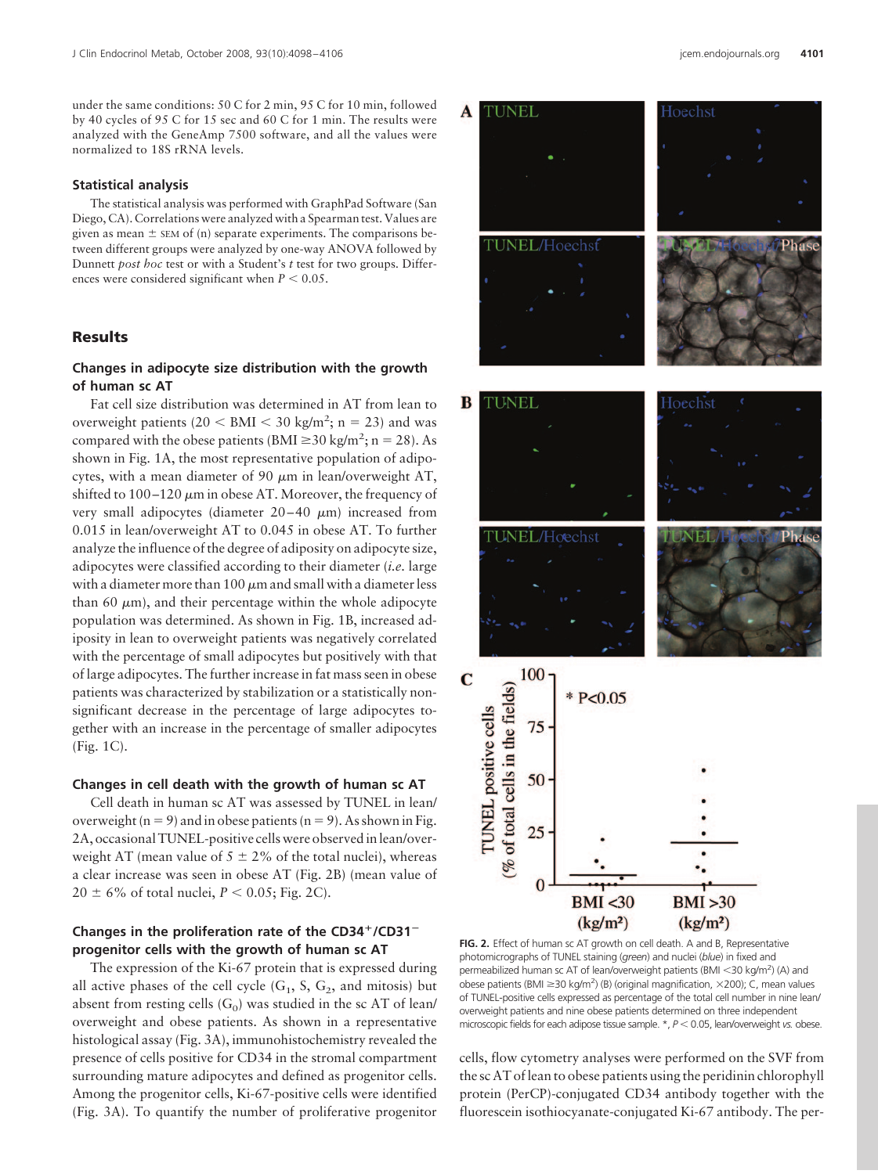under the same conditions: 50 C for 2 min, 95 C for 10 min, followed by 40 cycles of 95 C for 15 sec and 60 C for 1 min. The results were analyzed with the GeneAmp 7500 software, and all the values were normalized to 18S rRNA levels.

### **Statistical analysis**

The statistical analysis was performed with GraphPad Software (San Diego, CA). Correlations were analyzed with a Spearman test. Values are given as mean  $\pm$  SEM of (n) separate experiments. The comparisons between different groups were analyzed by one-way ANOVA followed by Dunnett *post hoc* test or with a Student's *t* test for two groups. Differences were considered significant when  $P < 0.05$ .

# **Results**

# **Changes in adipocyte size distribution with the growth of human sc AT**

Fat cell size distribution was determined in AT from lean to overweight patients  $(20 < BMI < 30 kg/m^2; n = 23)$  and was compared with the obese patients (BMI  $\geq$  30 kg/m<sup>2</sup>; n = 28). As shown in Fig. 1A, the most representative population of adipocytes, with a mean diameter of 90  $\mu$ m in lean/overweight AT, shifted to 100–120  $\mu$ m in obese AT. Moreover, the frequency of very small adipocytes (diameter  $20-40 \mu m$ ) increased from 0.015 in lean/overweight AT to 0.045 in obese AT. To further analyze the influence of the degree of adiposity on adipocyte size, adipocytes were classified according to their diameter (*i.e.* large with a diameter more than 100  $\mu$ m and small with a diameter less than 60  $\mu$ m), and their percentage within the whole adipocyte population was determined. As shown in Fig. 1B, increased adiposity in lean to overweight patients was negatively correlated with the percentage of small adipocytes but positively with that of large adipocytes. The further increase in fat mass seen in obese patients was characterized by stabilization or a statistically nonsignificant decrease in the percentage of large adipocytes together with an increase in the percentage of smaller adipocytes (Fig. 1C).

### **Changes in cell death with the growth of human sc AT**

Cell death in human sc AT was assessed by TUNEL in lean/ overweight ( $n = 9$ ) and in obese patients ( $n = 9$ ). As shown in Fig. 2A, occasional TUNEL-positive cells were observed in lean/overweight AT (mean value of  $5 \pm 2\%$  of the total nuclei), whereas a clear increase was seen in obese AT (Fig. 2B) (mean value of  $20 \pm 6\%$  of total nuclei, *P* < 0.05; Fig. 2C).

# **Changes in the proliferation rate of the CD34/CD31 progenitor cells with the growth of human sc AT**

The expression of the Ki-67 protein that is expressed during all active phases of the cell cycle  $(G_1, S, G_2,$  and mitosis) but absent from resting cells  $(G_0)$  was studied in the sc AT of lean/ overweight and obese patients. As shown in a representative histological assay (Fig. 3A), immunohistochemistry revealed the presence of cells positive for CD34 in the stromal compartment surrounding mature adipocytes and defined as progenitor cells. Among the progenitor cells, Ki-67-positive cells were identified (Fig. 3A). To quantify the number of proliferative progenitor



**FIG. 2.** Effect of human sc AT growth on cell death. A and B, Representative photomicrographs of TUNEL staining (*green*) and nuclei (*blue*) in fixed and permeabilized human sc AT of lean/overweight patients (BMI <30 kg/m<sup>2</sup>) (A) and obese patients (BMI  $\geq$ 30 kg/m<sup>2</sup>) (B) (original magnification,  $\times$ 200); C, mean values of TUNEL-positive cells expressed as percentage of the total cell number in nine lean/ overweight patients and nine obese patients determined on three independent microscopic fields for each adipose tissue sample. \*,  $P < 0.05$ , lean/overweight *vs.* obese.

cells, flow cytometry analyses were performed on the SVF from the sc AT of lean to obese patients using the peridinin chlorophyll protein (PerCP)-conjugated CD34 antibody together with the fluorescein isothiocyanate-conjugated Ki-67 antibody. The per-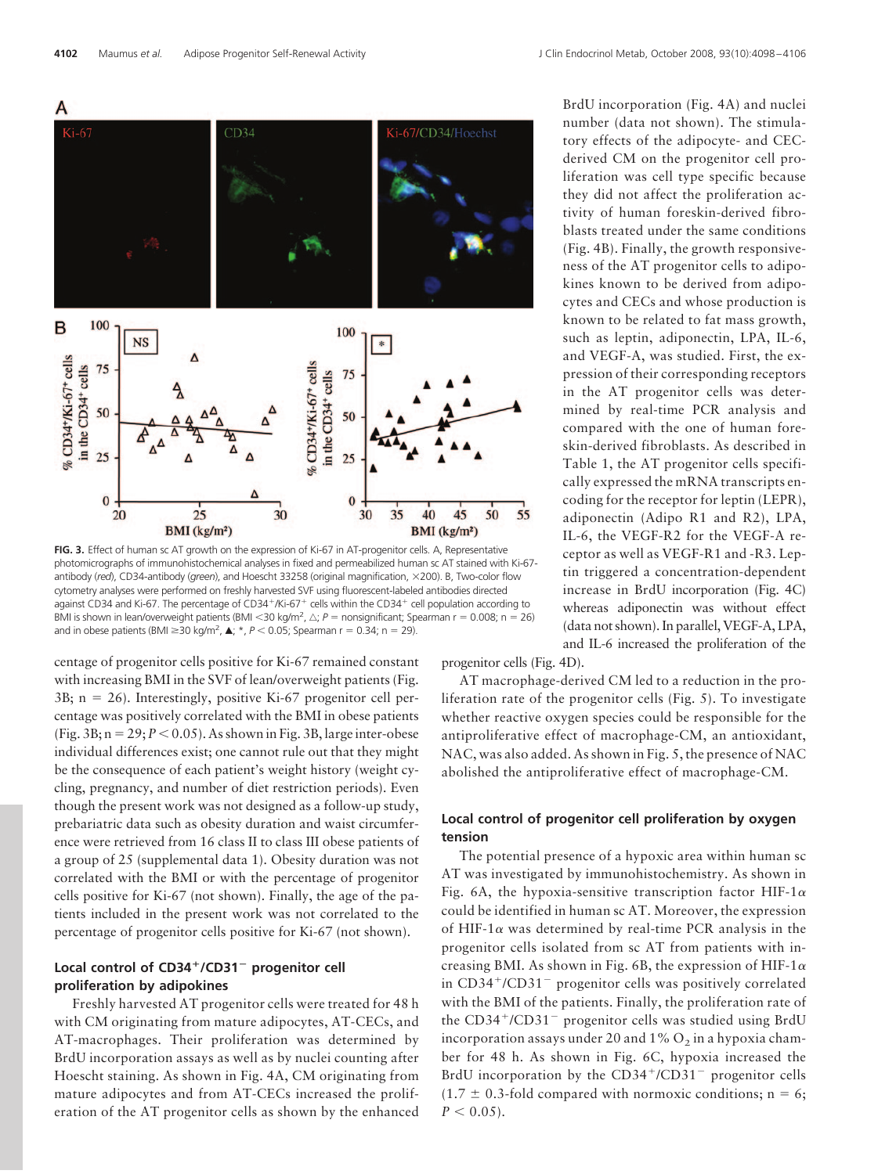

FIG. 3. Effect of human sc AT growth on the expression of Ki-67 in AT-progenitor cells. A, Representative photomicrographs of immunohistochemical analyses in fixed and permeabilized human sc AT stained with Ki-67 antibody (*red*), CD34-antibody (*green*), and Hoescht 33258 (original magnification, 200). B, Two-color flow cytometry analyses were performed on freshly harvested SVF using fluorescent-labeled antibodies directed against CD34 and Ki-67. The percentage of CD34<sup>+</sup>/Ki-67<sup>+</sup> cells within the CD34<sup>+</sup> cell population according to BMI is shown in lean/overweight patients (BMI <30 kg/m<sup>2</sup>,  $\triangle; P =$  nonsignificant; Spearman r = 0.008; n = 26) and in obese patients (BMI  $\geq$ 30 kg/m<sup>2</sup>,  $\blacktriangle$ ;  $\star$ ,  $P$  < 0.05; Spearman r = 0.34; n = 29).

centage of progenitor cells positive for Ki-67 remained constant with increasing BMI in the SVF of lean/overweight patients (Fig.  $3B$ ; n = 26). Interestingly, positive Ki-67 progenitor cell percentage was positively correlated with the BMI in obese patients (Fig.  $3B; n = 29; P < 0.05$ ). As shown in Fig. 3B, large inter-obese individual differences exist; one cannot rule out that they might be the consequence of each patient's weight history (weight cycling, pregnancy, and number of diet restriction periods). Even though the present work was not designed as a follow-up study, prebariatric data such as obesity duration and waist circumference were retrieved from 16 class II to class III obese patients of a group of 25 (supplemental data 1). Obesity duration was not correlated with the BMI or with the percentage of progenitor cells positive for Ki-67 (not shown). Finally, the age of the patients included in the present work was not correlated to the percentage of progenitor cells positive for Ki-67 (not shown).

# **Local control of CD34/CD31**- **progenitor cell proliferation by adipokines**

Freshly harvested AT progenitor cells were treated for 48 h with CM originating from mature adipocytes, AT-CECs, and AT-macrophages. Their proliferation was determined by BrdU incorporation assays as well as by nuclei counting after Hoescht staining. As shown in Fig. 4A, CM originating from mature adipocytes and from AT-CECs increased the proliferation of the AT progenitor cells as shown by the enhanced BrdU incorporation (Fig. 4A) and nuclei number (data not shown). The stimulatory effects of the adipocyte- and CECderived CM on the progenitor cell proliferation was cell type specific because they did not affect the proliferation activity of human foreskin-derived fibroblasts treated under the same conditions (Fig. 4B). Finally, the growth responsiveness of the AT progenitor cells to adipokines known to be derived from adipocytes and CECs and whose production is known to be related to fat mass growth, such as leptin, adiponectin, LPA, IL-6, and VEGF-A, was studied. First, the expression of their corresponding receptors in the AT progenitor cells was determined by real-time PCR analysis and compared with the one of human foreskin-derived fibroblasts. As described in Table 1, the AT progenitor cells specifically expressed the mRNA transcripts encoding for the receptor for leptin (LEPR), adiponectin (Adipo R1 and R2), LPA, IL-6, the VEGF-R2 for the VEGF-A receptor as well as VEGF-R1 and -R3. Leptin triggered a concentration-dependent increase in BrdU incorporation (Fig. 4C) whereas adiponectin was without effect (data not shown). In parallel, VEGF-A, LPA, and IL-6 increased the proliferation of the

progenitor cells (Fig. 4D).

AT macrophage-derived CM led to a reduction in the proliferation rate of the progenitor cells (Fig. 5). To investigate whether reactive oxygen species could be responsible for the antiproliferative effect of macrophage-CM, an antioxidant, NAC, was also added. As shown in Fig. 5, the presence of NAC abolished the antiproliferative effect of macrophage-CM.

# **Local control of progenitor cell proliferation by oxygen tension**

The potential presence of a hypoxic area within human sc AT was investigated by immunohistochemistry. As shown in Fig. 6A, the hypoxia-sensitive transcription factor HIF-1 $\alpha$ could be identified in human sc AT. Moreover, the expression of HIF-1 $\alpha$  was determined by real-time PCR analysis in the progenitor cells isolated from sc AT from patients with increasing BMI. As shown in Fig. 6B, the expression of HIF-1 $\alpha$ in CD34<sup>+</sup>/CD31<sup>-</sup> progenitor cells was positively correlated with the BMI of the patients. Finally, the proliferation rate of the CD34<sup>+</sup>/CD31<sup>-</sup> progenitor cells was studied using BrdU incorporation assays under 20 and  $1\%$  O<sub>2</sub> in a hypoxia chamber for 48 h. As shown in Fig. 6C, hypoxia increased the BrdU incorporation by the CD34<sup>+</sup>/CD31<sup>-</sup> progenitor cells  $(1.7 \pm 0.3\text{-}$  fold compared with normoxic conditions; n = 6;  $P < 0.05$ ).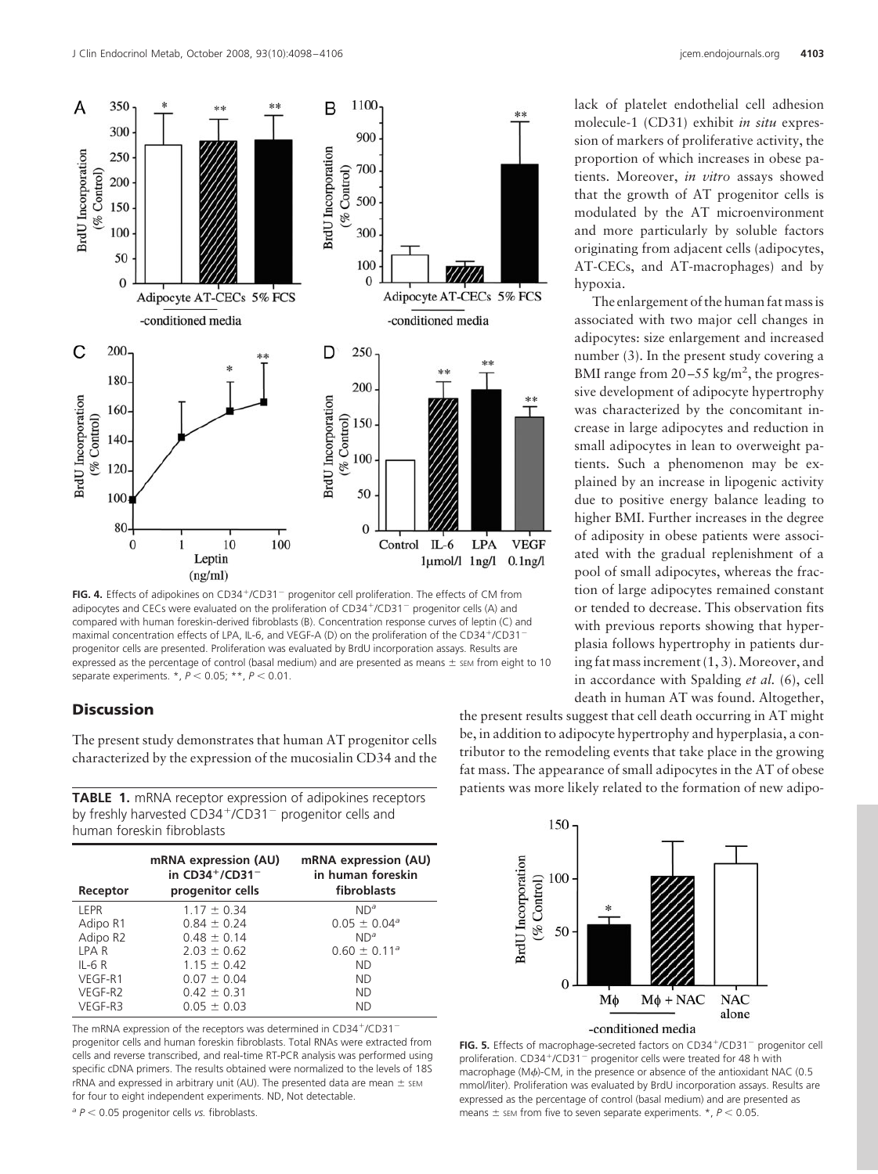

FIG. 4. Effects of adipokines on CD34<sup>+</sup>/CD31<sup>-</sup> progenitor cell proliferation. The effects of CM from adipocytes and CECs were evaluated on the proliferation of CD34+/CD31<sup>-</sup> progenitor cells (A) and compared with human foreskin-derived fibroblasts (B). Concentration response curves of leptin (C) and maximal concentration effects of LPA, IL-6, and VEGF-A (D) on the proliferation of the CD34+/CD31 progenitor cells are presented. Proliferation was evaluated by BrdU incorporation assays. Results are expressed as the percentage of control (basal medium) and are presented as means  $\pm$  sEM from eight to 10 separate experiments. \*,  $P < 0.05$ ; \*\*,  $P < 0.01$ .

# **Discussion**

The present study demonstrates that human AT progenitor cells characterized by the expression of the mucosialin CD34 and the

**TABLE 1.** mRNA receptor expression of adipokines receptors by freshly harvested CD34<sup>+</sup>/CD31<sup>-</sup> progenitor cells and human foreskin fibroblasts

| Receptor | mRNA expression (AU)<br>in $CD34^+/CD31^-$<br>progenitor cells | mRNA expression (AU)<br>in human foreskin<br>fibroblasts |
|----------|----------------------------------------------------------------|----------------------------------------------------------|
| LEPR     | $1.17 \pm 0.34$                                                | $ND^a$                                                   |
| Adipo R1 | $0.84 \pm 0.24$                                                | $0.05 \pm 0.04$ <sup>a</sup>                             |
| Adipo R2 | $0.48 \pm 0.14$                                                | $ND^a$                                                   |
| LPA R    | $2.03 \pm 0.62$                                                | $0.60 \pm 0.11$ <sup>a</sup>                             |
| $IL-6R$  | $1.15 \pm 0.42$                                                | <b>ND</b>                                                |
| VEGF-R1  | $0.07 \pm 0.04$                                                | <b>ND</b>                                                |
| VEGF-R2  | $0.42 \pm 0.31$                                                | <b>ND</b>                                                |
| VEGF-R3  | $0.05 \pm 0.03$                                                | <b>ND</b>                                                |

The mRNA expression of the receptors was determined in CD34+/CD31 progenitor cells and human foreskin fibroblasts. Total RNAs were extracted from cells and reverse transcribed, and real-time RT-PCR analysis was performed using specific cDNA primers. The results obtained were normalized to the levels of 18S rRNA and expressed in arbitrary unit (AU). The presented data are mean  $\pm$  sEM for four to eight independent experiments. ND, Not detectable.

*<sup>a</sup> P* 0.05 progenitor cells *vs.* fibroblasts.

lack of platelet endothelial cell adhesion molecule-1 (CD31) exhibit *in situ* expression of markers of proliferative activity, the proportion of which increases in obese patients. Moreover, *in vitro* assays showed that the growth of AT progenitor cells is modulated by the AT microenvironment and more particularly by soluble factors originating from adjacent cells (adipocytes, AT-CECs, and AT-macrophages) and by hypoxia.

The enlargement of the human fat mass is associated with two major cell changes in adipocytes: size enlargement and increased number (3). In the present study covering a BMI range from  $20-55$  kg/m<sup>2</sup>, the progressive development of adipocyte hypertrophy was characterized by the concomitant increase in large adipocytes and reduction in small adipocytes in lean to overweight patients. Such a phenomenon may be explained by an increase in lipogenic activity due to positive energy balance leading to higher BMI. Further increases in the degree of adiposity in obese patients were associated with the gradual replenishment of a pool of small adipocytes, whereas the fraction of large adipocytes remained constant or tended to decrease. This observation fits with previous reports showing that hyperplasia follows hypertrophy in patients during fat mass increment (1, 3). Moreover, and in accordance with Spalding *et al.* (6), cell death in human AT was found. Altogether,

the present results suggest that cell death occurring in AT might be, in addition to adipocyte hypertrophy and hyperplasia, a contributor to the remodeling events that take place in the growing fat mass. The appearance of small adipocytes in the AT of obese patients was more likely related to the formation of new adipo-



FIG. 5. Effects of macrophage-secreted factors on CD34<sup>+</sup>/CD31<sup>-</sup> progenitor cell proliferation.  $CD34^+$ /CD31<sup>-</sup> progenitor cells were treated for 48 h with macrophage (M $\phi$ )-CM, in the presence or absence of the antioxidant NAC (0.5 mmol/liter). Proliferation was evaluated by BrdU incorporation assays. Results are expressed as the percentage of control (basal medium) and are presented as means  $\pm$  sem from five to seven separate experiments.  $*$ ,  $P < 0.05$ .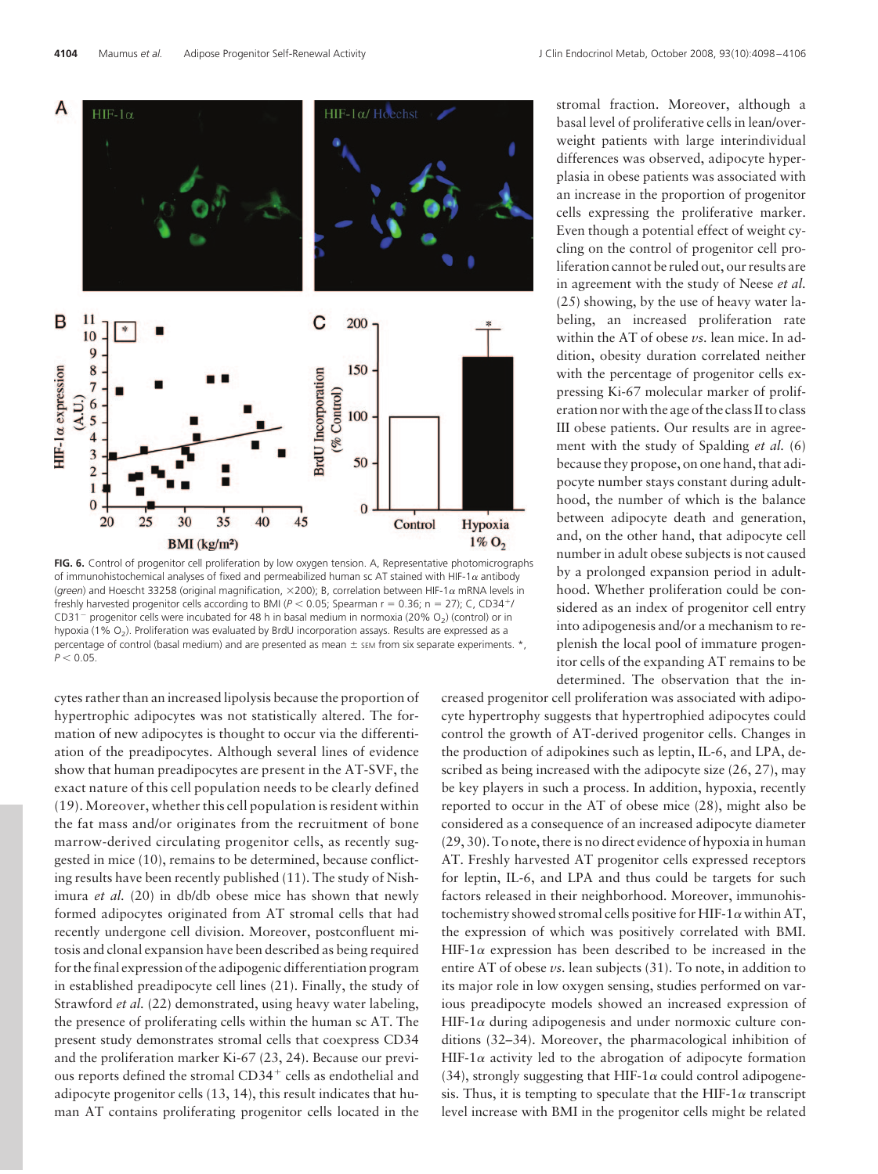

FIG. 6. Control of progenitor cell proliferation by low oxygen tension. A, Representative photomicrographs of immunohistochemical analyses of fixed and permeabilized human sc AT stained with HIF-1 $\alpha$  antibody (*green*) and Hoescht 33258 (original magnification,  $\times$ 200); B, correlation between HIF-1 a mRNA levels in freshly harvested progenitor cells according to BMI ( $P < 0.05$ ; Spearman r = 0.36; n = 27); C, CD34<sup>+</sup>/  $CD31<sup>-</sup>$  progenitor cells were incubated for 48 h in basal medium in normoxia (20% O<sub>2</sub>) (control) or in hypoxia (1% O<sub>2</sub>). Proliferation was evaluated by BrdU incorporation assays. Results are expressed as a percentage of control (basal medium) and are presented as mean  $\pm$  sEM from six separate experiments.  $*$ ,  $P < 0.05$ .

cytes rather than an increased lipolysis because the proportion of hypertrophic adipocytes was not statistically altered. The formation of new adipocytes is thought to occur via the differentiation of the preadipocytes. Although several lines of evidence show that human preadipocytes are present in the AT-SVF, the exact nature of this cell population needs to be clearly defined (19).Moreover, whether this cell population is resident within the fat mass and/or originates from the recruitment of bone marrow-derived circulating progenitor cells, as recently suggested in mice (10), remains to be determined, because conflicting results have been recently published (11). The study of Nishimura *et al.* (20) in db/db obese mice has shown that newly formed adipocytes originated from AT stromal cells that had recently undergone cell division. Moreover, postconfluent mitosis and clonal expansion have been described as being required for the final expression of the adipogenic differentiation program in established preadipocyte cell lines (21). Finally, the study of Strawford *et al.* (22) demonstrated, using heavy water labeling, the presence of proliferating cells within the human sc AT. The present study demonstrates stromal cells that coexpress CD34 and the proliferation marker Ki-67 (23, 24). Because our previous reports defined the stromal CD34<sup>+</sup> cells as endothelial and adipocyte progenitor cells (13, 14), this result indicates that human AT contains proliferating progenitor cells located in the

stromal fraction. Moreover, although a basal level of proliferative cells in lean/overweight patients with large interindividual differences was observed, adipocyte hyperplasia in obese patients was associated with an increase in the proportion of progenitor cells expressing the proliferative marker. Even though a potential effect of weight cycling on the control of progenitor cell proliferation cannot be ruled out, our results are in agreement with the study of Neese *et al.* (25) showing, by the use of heavy water labeling, an increased proliferation rate within the AT of obese *vs.* lean mice. In addition, obesity duration correlated neither with the percentage of progenitor cells expressing Ki-67 molecular marker of proliferation nor with the age of the class II to class III obese patients. Our results are in agreement with the study of Spalding *et al.* (6) because they propose, on one hand, that adipocyte number stays constant during adulthood, the number of which is the balance between adipocyte death and generation, and, on the other hand, that adipocyte cell number in adult obese subjects is not caused by a prolonged expansion period in adulthood. Whether proliferation could be considered as an index of progenitor cell entry into adipogenesis and/or a mechanism to replenish the local pool of immature progenitor cells of the expanding AT remains to be determined. The observation that the in-

creased progenitor cell proliferation was associated with adipocyte hypertrophy suggests that hypertrophied adipocytes could control the growth of AT-derived progenitor cells. Changes in the production of adipokines such as leptin, IL-6, and LPA, described as being increased with the adipocyte size  $(26, 27)$ , may be key players in such a process. In addition, hypoxia, recently reported to occur in the AT of obese mice (28), might also be considered as a consequence of an increased adipocyte diameter (29, 30). To note, there is no direct evidence of hypoxia in human AT. Freshly harvested AT progenitor cells expressed receptors for leptin, IL-6, and LPA and thus could be targets for such factors released in their neighborhood. Moreover, immunohistochemistry showed stromal cells positive for HIF-1 $\alpha$  within AT, the expression of which was positively correlated with BMI. HIF-1 $\alpha$  expression has been described to be increased in the entire AT of obese *vs.* lean subjects (31). To note, in addition to its major role in low oxygen sensing, studies performed on various preadipocyte models showed an increased expression of HIF-1 $\alpha$  during adipogenesis and under normoxic culture conditions (32–34). Moreover, the pharmacological inhibition of HIF-1 $\alpha$  activity led to the abrogation of adipocyte formation (34), strongly suggesting that HIF-1 $\alpha$  could control adipogenesis. Thus, it is tempting to speculate that the HIF-1 $\alpha$  transcript level increase with BMI in the progenitor cells might be related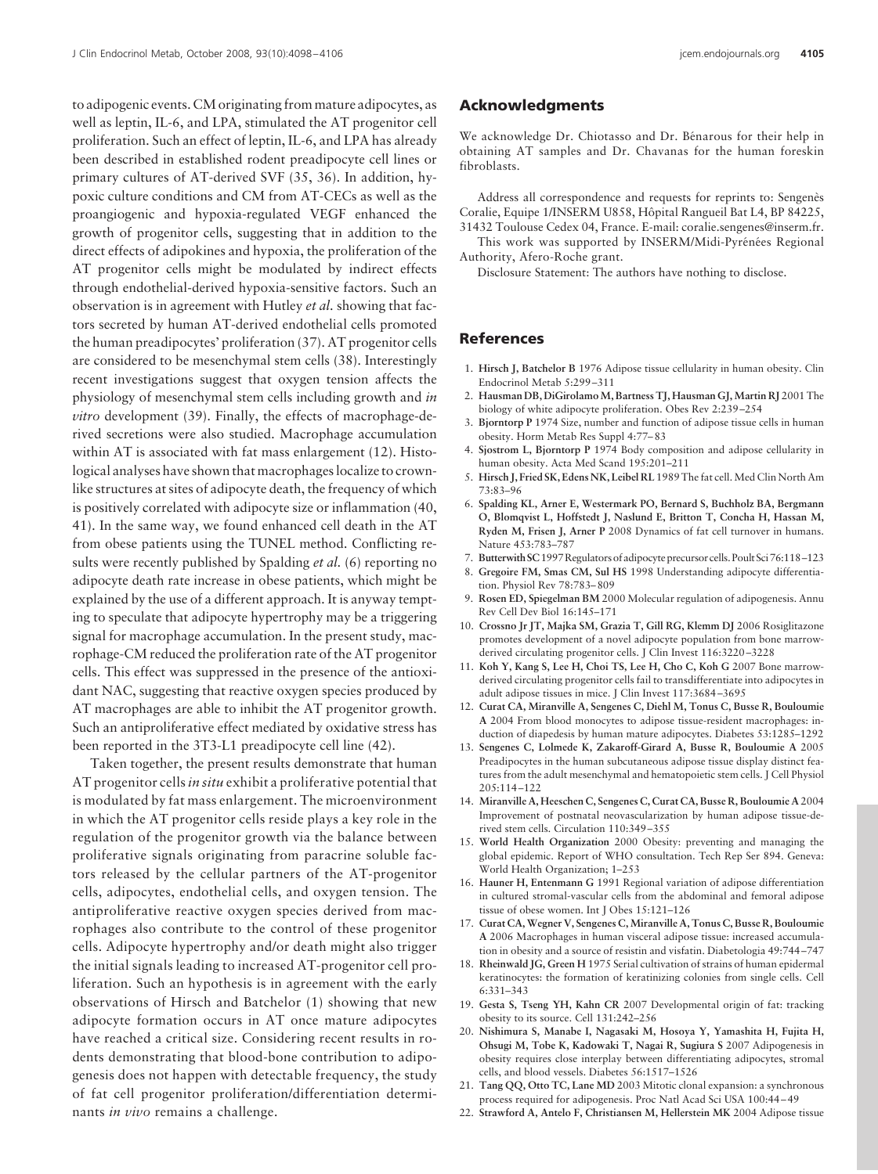to adipogenic events. CM originating from mature adipocytes, as well as leptin, IL-6, and LPA, stimulated the AT progenitor cell proliferation. Such an effect of leptin, IL-6, and LPA has already been described in established rodent preadipocyte cell lines or primary cultures of AT-derived SVF (35, 36). In addition, hypoxic culture conditions and CM from AT-CECs as well as the proangiogenic and hypoxia-regulated VEGF enhanced the growth of progenitor cells, suggesting that in addition to the direct effects of adipokines and hypoxia, the proliferation of the AT progenitor cells might be modulated by indirect effects through endothelial-derived hypoxia-sensitive factors. Such an observation is in agreement with Hutley *et al.* showing that factors secreted by human AT-derived endothelial cells promoted the human preadipocytes' proliferation (37). AT progenitor cells are considered to be mesenchymal stem cells (38). Interestingly recent investigations suggest that oxygen tension affects the physiology of mesenchymal stem cells including growth and *in vitro* development (39). Finally, the effects of macrophage-derived secretions were also studied. Macrophage accumulation within AT is associated with fat mass enlargement (12). Histological analyses have shown that macrophages localize to crownlike structures at sites of adipocyte death, the frequency of which is positively correlated with adipocyte size or inflammation (40, 41). In the same way, we found enhanced cell death in the AT from obese patients using the TUNEL method. Conflicting results were recently published by Spalding *et al.* (6) reporting no adipocyte death rate increase in obese patients, which might be explained by the use of a different approach. It is anyway tempting to speculate that adipocyte hypertrophy may be a triggering signal for macrophage accumulation. In the present study, macrophage-CM reduced the proliferation rate of the AT progenitor cells. This effect was suppressed in the presence of the antioxidant NAC, suggesting that reactive oxygen species produced by AT macrophages are able to inhibit the AT progenitor growth. Such an antiproliferative effect mediated by oxidative stress has been reported in the 3T3-L1 preadipocyte cell line (42).

Taken together, the present results demonstrate that human AT progenitor cells*in situ* exhibit a proliferative potential that is modulated by fat mass enlargement. The microenvironment in which the AT progenitor cells reside plays a key role in the regulation of the progenitor growth via the balance between proliferative signals originating from paracrine soluble factors released by the cellular partners of the AT-progenitor cells, adipocytes, endothelial cells, and oxygen tension. The antiproliferative reactive oxygen species derived from macrophages also contribute to the control of these progenitor cells. Adipocyte hypertrophy and/or death might also trigger the initial signals leading to increased AT-progenitor cell proliferation. Such an hypothesis is in agreement with the early observations of Hirsch and Batchelor (1) showing that new adipocyte formation occurs in AT once mature adipocytes have reached a critical size. Considering recent results in rodents demonstrating that blood-bone contribution to adipogenesis does not happen with detectable frequency, the study of fat cell progenitor proliferation/differentiation determinants *in vivo* remains a challenge.

### **Acknowledgments**

We acknowledge Dr. Chiotasso and Dr. Bénarous for their help in obtaining AT samples and Dr. Chavanas for the human foreskin fibroblasts.

Address all correspondence and requests for reprints to: Sengenès Coralie, Equipe 1/INSERM U858, Hôpital Rangueil Bat L4, BP 84225, 31432 Toulouse Cedex 04, France. E-mail: coralie.sengenes@inserm.fr.

This work was supported by INSERM/Midi-Pyrénées Regional Authority, Afero-Roche grant.

Disclosure Statement: The authors have nothing to disclose.

# **References**

- 1. **Hirsch J, Batchelor B** 1976 Adipose tissue cellularity in human obesity. Clin Endocrinol Metab 5:299 –311
- 2. **Hausman DB, DiGirolamoM, Bartness TJ, Hausman GJ,Martin RJ** 2001 The biology of white adipocyte proliferation. Obes Rev 2:239 –254
- 3. **Bjorntorp P** 1974 Size, number and function of adipose tissue cells in human obesity. Horm Metab Res Suppl 4:77– 83
- 4. **Sjostrom L, Bjorntorp P** 1974 Body composition and adipose cellularity in human obesity. Acta Med Scand 195:201–211
- 5. Hirsch J, Fried SK, Edens NK, Leibel RL 1989 The fat cell. Med Clin North Am 73:83–96
- 6. **Spalding KL, Arner E, Westermark PO, Bernard S, Buchholz BA, Bergmann O, Blomqvist L, Hoffstedt J, Naslund E, Britton T, Concha H, Hassan M, Ryden M, Frisen J, Arner P** 2008 Dynamics of fat cell turnover in humans. Nature 453:783–787
- 7. **Butterwith SC**1997Regulators of adipocyte precursor cells. Poult Sci 76:118 –123
- 8. **Gregoire FM, Smas CM, Sul HS** 1998 Understanding adipocyte differentiation. Physiol Rev 78:783– 809
- 9. **Rosen ED, Spiegelman BM** 2000 Molecular regulation of adipogenesis. Annu Rev Cell Dev Biol 16:145–171
- 10. **Crossno Jr JT, Majka SM, Grazia T, Gill RG, Klemm DJ** 2006 Rosiglitazone promotes development of a novel adipocyte population from bone marrowderived circulating progenitor cells. J Clin Invest 116:3220 –3228
- 11. **Koh Y, Kang S, Lee H, Choi TS, Lee H, Cho C, Koh G** 2007 Bone marrowderived circulating progenitor cells fail to transdifferentiate into adipocytes in adult adipose tissues in mice. J Clin Invest 117:3684 –3695
- 12. **Curat CA, Miranville A, Sengenes C, Diehl M, Tonus C, Busse R, Bouloumie A** 2004 From blood monocytes to adipose tissue-resident macrophages: induction of diapedesis by human mature adipocytes. Diabetes 53:1285–1292
- 13. **Sengenes C, Lolmede K, Zakaroff-Girard A, Busse R, Bouloumie A** 2005 Preadipocytes in the human subcutaneous adipose tissue display distinct features from the adult mesenchymal and hematopoietic stem cells. J Cell Physiol  $205:114 - 122$
- 14. **Miranville A, Heeschen C, Sengenes C, Curat CA, Busse R, Bouloumie A** 2004 Improvement of postnatal neovascularization by human adipose tissue-derived stem cells. Circulation 110:349 –355
- 15. **World Health Organization** 2000 Obesity: preventing and managing the global epidemic. Report of WHO consultation. Tech Rep Ser 894. Geneva: World Health Organization; 1–253
- 16. **Hauner H, Entenmann G** 1991 Regional variation of adipose differentiation in cultured stromal-vascular cells from the abdominal and femoral adipose tissue of obese women. Int J Obes 15:121–126
- 17. **Curat CA,Wegner V, Sengenes C,Miranville A, Tonus C, Busse R, Bouloumie A** 2006 Macrophages in human visceral adipose tissue: increased accumulation in obesity and a source of resistin and visfatin. Diabetologia 49:744 –747
- 18. **Rheinwald JG, Green H** 1975 Serial cultivation of strains of human epidermal keratinocytes: the formation of keratinizing colonies from single cells. Cell 6:331–343
- 19. **Gesta S, Tseng YH, Kahn CR** 2007 Developmental origin of fat: tracking obesity to its source. Cell 131:242–256
- 20. **Nishimura S, Manabe I, Nagasaki M, Hosoya Y, Yamashita H, Fujita H, Ohsugi M, Tobe K, Kadowaki T, Nagai R, Sugiura S** 2007 Adipogenesis in obesity requires close interplay between differentiating adipocytes, stromal cells, and blood vessels. Diabetes 56:1517–1526
- 21. **Tang QQ, Otto TC, Lane MD** 2003 Mitotic clonal expansion: a synchronous process required for adipogenesis. Proc Natl Acad Sci USA 100:44 – 49
- 22. **Strawford A, Antelo F, Christiansen M, Hellerstein MK** 2004 Adipose tissue